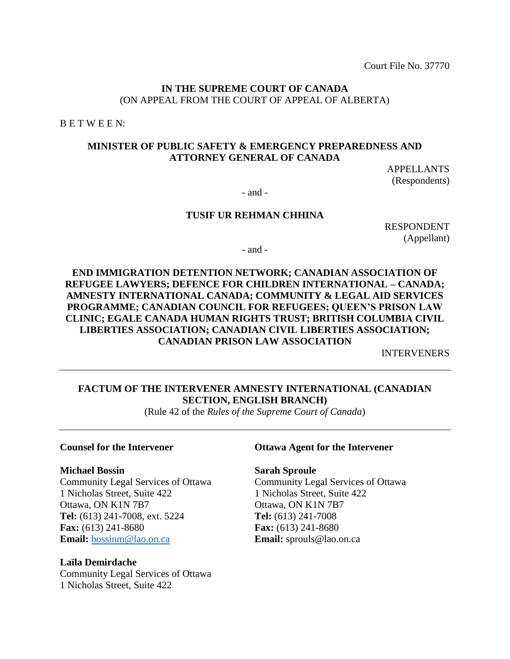Court File No. 37770

## **IN THE SUPREME COURT OF CANADA** (ON APPEAL FROM THE COURT OF APPEAL OF ALBERTA)

B E T W E E N:

## **MINISTER OF PUBLIC SAFETY & EMERGENCY PREPAREDNESS AND ATTORNEY GENERAL OF CANADA**

APPELLANTS (Respondents)

- and -

### **TUSIF UR REHMAN CHHINA**

RESPONDENT (Appellant)

- and -

# **END IMMIGRATION DETENTION NETWORK; CANADIAN ASSOCIATION OF REFUGEE LAWYERS; DEFENCE FOR CHILDREN INTERNATIONAL – CANADA; AMNESTY INTERNATIONAL CANADA; COMMUNITY & LEGAL AID SERVICES PROGRAMME; CANADIAN COUNCIL FOR REFUGEES; QUEEN'S PRISON LAW CLINIC; EGALE CANADA HUMAN RIGHTS TRUST; BRITISH COLUMBIA CIVIL LIBERTIES ASSOCIATION; CANADIAN CIVIL LIBERTIES ASSOCIATION; CANADIAN PRISON LAW ASSOCIATION**

INTERVENERS

# **FACTUM OF THE INTERVENER AMNESTY INTERNATIONAL (CANADIAN SECTION, ENGLISH BRANCH)**

(Rule 42 of the *Rules of the Supreme Court of Canada*)

#### **Michael Bossin**

Community Legal Services of Ottawa 1 Nicholas Street, Suite 422 Ottawa, ON K1N 7B7 **Tel:** (613) 241-7008, ext. 5224 **Fax:** (613) 241-8680 **Email:** [bossinm@lao.on.ca](mailto:bossinm@lao.on.ca)

#### **Laïla Demirdache**

Community Legal Services of Ottawa 1 Nicholas Street, Suite 422

## **Counsel for the Intervener Ottawa Agent for the Intervener**

**Sarah Sproule**

Community Legal Services of Ottawa 1 Nicholas Street, Suite 422 Ottawa, ON K1N 7B7 **Tel:** (613) 241-7008 **Fax:** (613) 241-8680 **Email:** sprouls@lao.on.ca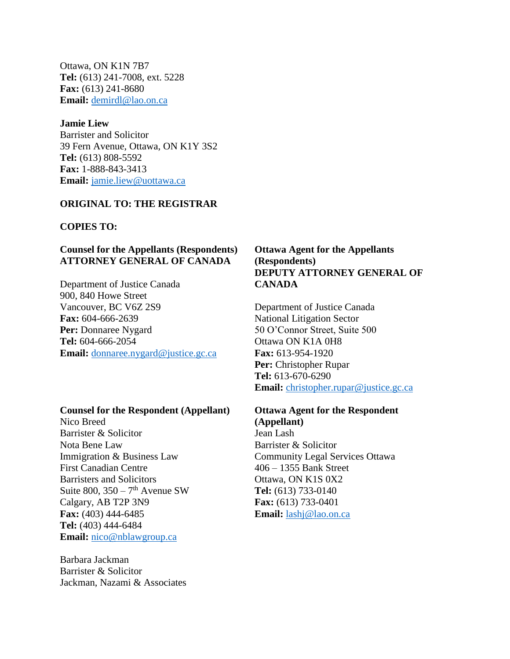Ottawa, ON K1N 7B7 **Tel:** (613) 241-7008, ext. 5228 **Fax:** (613) 241-8680 **Email:** [demirdl@lao.on.ca](mailto:demirdl@lao.on.ca)

**Jamie Liew** Barrister and Solicitor 39 Fern Avenue, Ottawa, ON K1Y 3S2 **Tel:** (613) 808-5592 **Fax:** 1-888-843-3413 **Email:** [jamie.liew@uottawa.ca](mailto:jamie.liew@uottawa.ca)

#### **ORIGINAL TO: THE REGISTRAR**

#### **COPIES TO:**

# **Counsel for the Appellants (Respondents) ATTORNEY GENERAL OF CANADA**

Department of Justice Canada 900, 840 Howe Street Vancouver, BC V6Z 2S9 **Fax:** 604-666-2639 **Per:** Donnaree Nygard **Tel:** 604-666-2054 **Email:** [donnaree.nygard@justice.gc.ca](mailto:donnaree.nygard@justice.gc.ca)

#### **Counsel for the Respondent (Appellant)**

Nico Breed Barrister & Solicitor Nota Bene Law Immigration & Business Law First Canadian Centre Barristers and Solicitors Suite  $800$ ,  $350 - 7$ <sup>th</sup> Avenue SW Calgary, AB T2P 3N9 **Fax:** (403) 444-6485 **Tel:** (403) 444-6484 **Email:** [nico@nblawgroup.ca](mailto:nico@nblawgroup.ca)

Barbara Jackman Barrister & Solicitor Jackman, Nazami & Associates

## **Ottawa Agent for the Appellants (Respondents) DEPUTY ATTORNEY GENERAL OF CANADA**

Department of Justice Canada National Litigation Sector 50 O'Connor Street, Suite 500 Ottawa ON K1A 0H8 **Fax:** 613-954-1920 **Per:** Christopher Rupar **Tel:** 613-670-6290 **Email:** [christopher.rupar@justice.gc.ca](mailto:christopher.rupar@justice.gc.ca)

# **Ottawa Agent for the Respondent**

**(Appellant)** Jean Lash Barrister & Solicitor Community Legal Services Ottawa 406 – 1355 Bank Street Ottawa, ON K1S 0X2 **Tel:** (613) 733-0140 **Fax:** (613) 733-0401 **Email:** [lashj@lao.on.ca](mailto:lashj@lao.on.ca)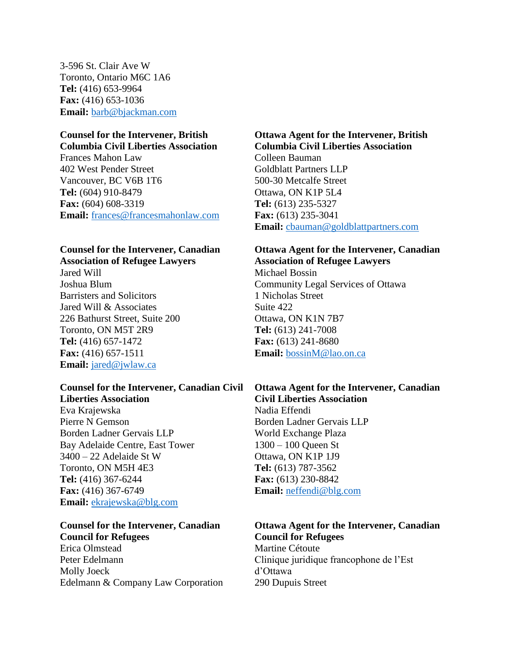3-596 St. Clair Ave W Toronto, Ontario M6C 1A6 **Tel:** (416) 653-9964 **Fax:** (416) 653-1036 **Email:** [barb@bjackman.com](mailto:barb@bjackman.com)

## **Counsel for the Intervener, British Columbia Civil Liberties Association**

Frances Mahon Law 402 West Pender Street Vancouver, BC V6B 1T6 **Tel:** (604) 910-8479 **Fax:** (604) 608-3319 **Email:** [frances@francesmahonlaw.com](mailto:frances@francesmahonlaw.com)

#### **Counsel for the Intervener, Canadian Association of Refugee Lawyers**

Jared Will Joshua Blum Barristers and Solicitors Jared Will & Associates 226 Bathurst Street, Suite 200 Toronto, ON M5T 2R9 **Tel:** (416) 657-1472 **Fax:** (416) 657-1511 **Email:** [jared@jwlaw.ca](mailto:jared@jwlaw.ca)

#### **Counsel for the Intervener, Canadian Civil Liberties Association**

Eva Krajewska Pierre N Gemson Borden Ladner Gervais LLP Bay Adelaide Centre, East Tower 3400 – 22 Adelaide St W Toronto, ON M5H 4E3 **Tel:** (416) 367-6244 **Fax:** (416) 367-6749 **Email:** [ekrajewska@blg.com](mailto:ekrajewska@blg.com)

#### **Counsel for the Intervener, Canadian Council for Refugees**

Erica Olmstead Peter Edelmann Molly Joeck Edelmann & Company Law Corporation

# **Ottawa Agent for the Intervener, British Columbia Civil Liberties Association**

Colleen Bauman Goldblatt Partners LLP 500-30 Metcalfe Street Ottawa, ON K1P 5L4 **Tel:** (613) 235-5327 **Fax:** (613) 235-3041 **Email:** [cbauman@goldblattpartners.com](mailto:cbauman@goldblattpartners.com)

# **Ottawa Agent for the Intervener, Canadian Association of Refugee Lawyers**

Michael Bossin Community Legal Services of Ottawa 1 Nicholas Street Suite 422 Ottawa, ON K1N 7B7 **Tel:** (613) 241-7008 **Fax:** (613) 241-8680 **Email:** [bossinM@lao.on.ca](mailto:bossinM@lao.on.ca)

#### **Ottawa Agent for the Intervener, Canadian Civil Liberties Association** Nadia Effendi

Borden Ladner Gervais LLP World Exchange Plaza 1300 – 100 Queen St Ottawa, ON K1P 1J9 **Tel:** (613) 787-3562 **Fax:** (613) 230-8842 **Email:** [neffendi@blg.com](mailto:neffendi@blg.com)

# **Ottawa Agent for the Intervener, Canadian Council for Refugees**

Martine Cétoute Clinique juridique francophone de l'Est d'Ottawa 290 Dupuis Street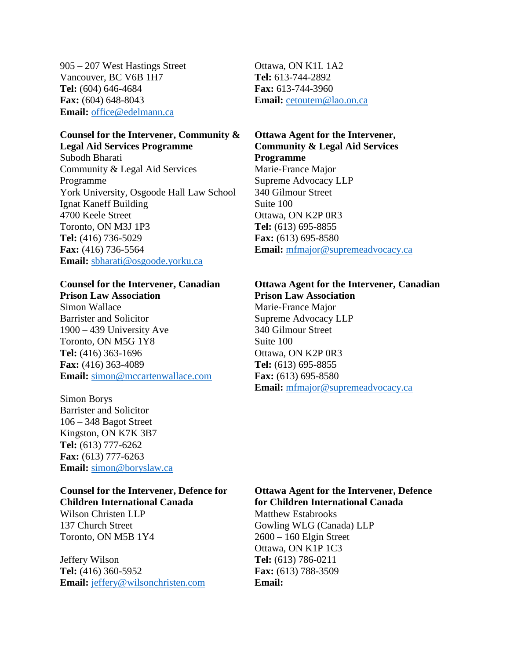905 – 207 West Hastings Street Vancouver, BC V6B 1H7 **Tel:** (604) 646-4684 **Fax:** (604) 648-8043 **Email:** [office@edelmann.ca](mailto:office@edelmann.ca)

#### **Counsel for the Intervener, Community & Legal Aid Services Programme**

Subodh Bharati Community & Legal Aid Services Programme York University, Osgoode Hall Law School Ignat Kaneff Building 4700 Keele Street Toronto, ON M3J 1P3 **Tel:** (416) 736-5029 **Fax:** (416) 736-5564 **Email:** [sbharati@osgoode.yorku.ca](mailto:sbharati@osgoode.yorku.ca)

# **Counsel for the Intervener, Canadian**

**Prison Law Association** Simon Wallace Barrister and Solicitor 1900 – 439 University Ave Toronto, ON M5G 1Y8 **Tel:** (416) 363-1696 **Fax:** (416) 363-4089 **Email:** [simon@mccartenwallace.com](mailto:simon@mccartenwallace.com)

Simon Borys Barrister and Solicitor 106 – 348 Bagot Street Kingston, ON K7K 3B7 **Tel:** (613) 777-6262 **Fax:** (613) 777-6263 **Email:** [simon@boryslaw.ca](mailto:simon@boryslaw.ca)

# **Counsel for the Intervener, Defence for Children International Canada**

Wilson Christen LLP 137 Church Street Toronto, ON M5B 1Y4

Jeffery Wilson **Tel:** (416) 360-5952 **Email:** [jeffery@wilsonchristen.com](mailto:jeffery@wilsonchristen.com) Ottawa, ON K1L 1A2 **Tel:** 613-744-2892 **Fax:** 613-744-3960 **Email:** [cetoutem@lao.on.ca](mailto:cetoutem@lao.on.ca)

# **Ottawa Agent for the Intervener, Community & Legal Aid Services Programme**

Marie-France Major Supreme Advocacy LLP 340 Gilmour Street Suite 100 Ottawa, ON K2P 0R3 **Tel:** (613) 695-8855 **Fax:** (613) 695-8580 **Email:** [mfmajor@supremeadvocacy.ca](mailto:mfmajor@supremeadvocacy.ca)

#### **Ottawa Agent for the Intervener, Canadian Prison Law Association**

Marie-France Major Supreme Advocacy LLP 340 Gilmour Street Suite 100 Ottawa, ON K2P 0R3 **Tel:** (613) 695-8855 **Fax:** (613) 695-8580 **Email:** [mfmajor@supremeadvocacy.ca](mailto:mfmajor@supremeadvocacy.ca)

## **Ottawa Agent for the Intervener, Defence for Children International Canada**

Matthew Estabrooks Gowling WLG (Canada) LLP 2600 – 160 Elgin Street Ottawa, ON K1P 1C3 **Tel:** (613) 786-0211 **Fax:** (613) 788-3509 **Email:**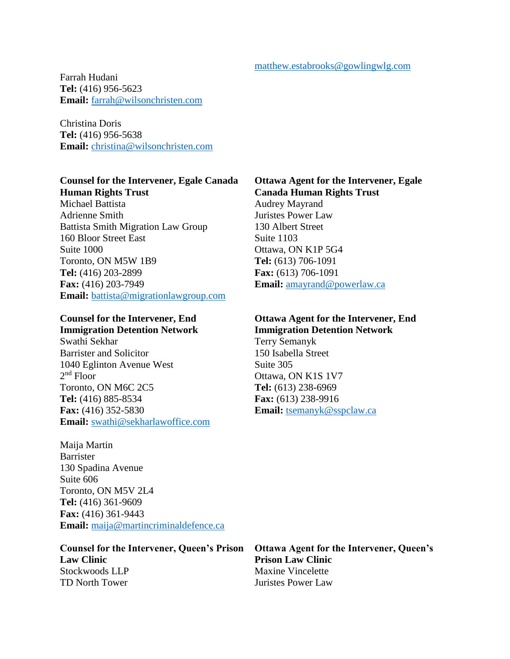Farrah Hudani **Tel:** (416) 956-5623 **Email:** [farrah@wilsonchristen.com](mailto:farrah@wilsonchristen.com)

Christina Doris **Tel:** (416) 956-5638 **Email:** [christina@wilsonchristen.com](mailto:christina@wilsonchristen.com)

# **Counsel for the Intervener, Egale Canada Human Rights Trust**

Michael Battista Adrienne Smith Battista Smith Migration Law Group 160 Bloor Street East Suite 1000 Toronto, ON M5W 1B9 **Tel:** (416) 203-2899 **Fax:** (416) 203-7949 **Email:** [battista@migrationlawgroup.com](mailto:battista@migrationlawgroup.com)

## **Counsel for the Intervener, End Immigration Detention Network**

Swathi Sekhar Barrister and Solicitor 1040 Eglinton Avenue West 2<sup>nd</sup> Floor Toronto, ON M6C 2C5 **Tel:** (416) 885-8534 **Fax:** (416) 352-5830 **Email:** [swathi@sekharlawoffice.com](mailto:swathi@sekharlawoffice.com)

# Maija Martin Barrister 130 Spadina Avenue Suite 606 Toronto, ON M5V 2L4 **Tel:** (416) 361-9609 **Fax:** (416) 361-9443 **Email:** [maija@martincriminaldefence.ca](mailto:maija@martincriminaldefence.ca)

## **Counsel for the Intervener, Queen's Prison Law Clinic** Stockwoods LLP TD North Tower

# **Ottawa Agent for the Intervener, Egale Canada Human Rights Trust**

Audrey Mayrand Juristes Power Law 130 Albert Street Suite 1103 Ottawa, ON K1P 5G4 **Tel:** (613) 706-1091 **Fax:** (613) 706-1091 **Email:** [amayrand@powerlaw.ca](mailto:amayrand@powerlaw.ca)

## **Ottawa Agent for the Intervener, End Immigration Detention Network**

Terry Semanyk 150 Isabella Street Suite 305 Ottawa, ON K1S 1V7 **Tel:** (613) 238-6969 **Fax:** (613) 238-9916 **Email:** [tsemanyk@sspclaw.ca](mailto:tsemanyk@sspclaw.ca)

**Ottawa Agent for the Intervener, Queen's Prison Law Clinic** Maxine Vincelette Juristes Power Law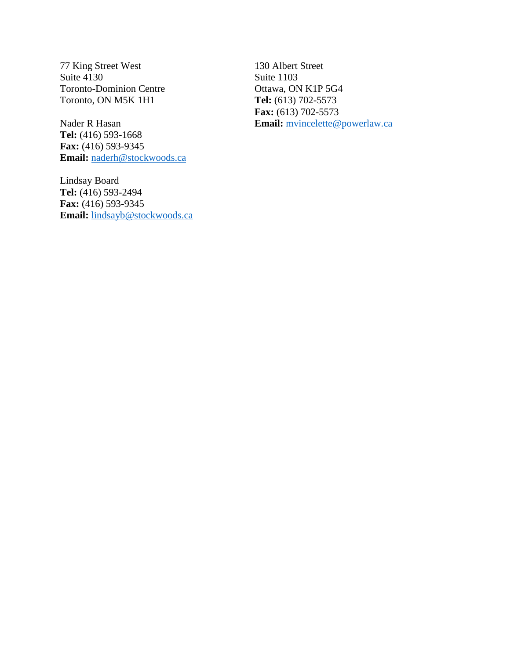77 King Street West Suite 4130 Toronto-Dominion Centre Toronto, ON M5K 1H1

Nader R Hasan **Tel:** (416) 593-1668 **Fax:** (416) 593-9345 **Email:** [naderh@stockwoods.ca](mailto:naderh@stockwoods.ca)

Lindsay Board **Tel:** (416) 593-2494 **Fax:** (416) 593-9345 **Email:** [lindsayb@stockwoods.ca](mailto:lindsayb@stockwoods.ca)

130 Albert Street Suite 1103 Ottawa, ON K1P 5G4 **Tel:** (613) 702-5573 **Fax:** (613) 702-5573 **Email:** [mvincelette@powerlaw.ca](mailto:mvincelette@powerlaw.ca)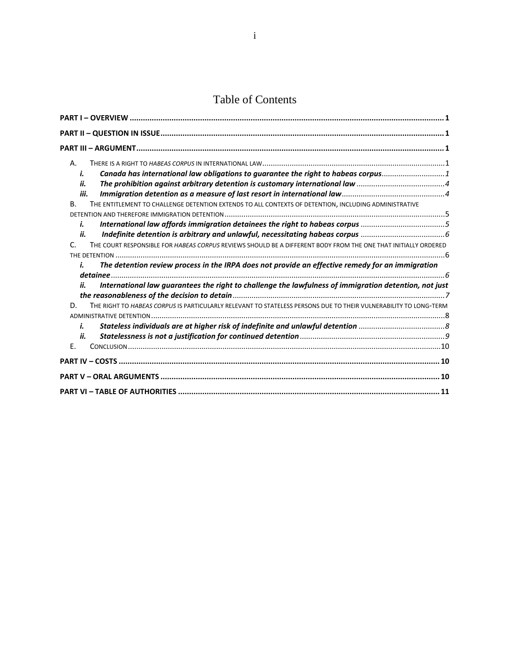# Table of Contents

| А.   |                                                                                                                  |
|------|------------------------------------------------------------------------------------------------------------------|
| i.   | Canada has international law obligations to guarantee the right to habeas corpus1                                |
| ii.  |                                                                                                                  |
| iii. |                                                                                                                  |
| В.   | THE ENTITLEMENT TO CHALLENGE DETENTION EXTENDS TO ALL CONTEXTS OF DETENTION, INCLUDING ADMINISTRATIVE            |
|      |                                                                                                                  |
| i.   | International law affords immigration detainees the right to habeas corpus 5                                     |
| ii.  |                                                                                                                  |
| C.   | THE COURT RESPONSIBLE FOR HABEAS CORPUS REVIEWS SHOULD BE A DIFFERENT BODY FROM THE ONE THAT INITIALLY ORDERED   |
|      |                                                                                                                  |
| i.   | The detention review process in the IRPA does not provide an effective remedy for an immigration                 |
|      |                                                                                                                  |
| ii.  | International law guarantees the right to challenge the lawfulness of immigration detention, not just            |
|      |                                                                                                                  |
| D.   | THE RIGHT TO HABEAS CORPUS IS PARTICULARLY RELEVANT TO STATELESS PERSONS DUE TO THEIR VULNERABILITY TO LONG-TERM |
|      |                                                                                                                  |
| i.   |                                                                                                                  |
| ii.  |                                                                                                                  |
| Ε.   |                                                                                                                  |
|      |                                                                                                                  |
|      |                                                                                                                  |
|      |                                                                                                                  |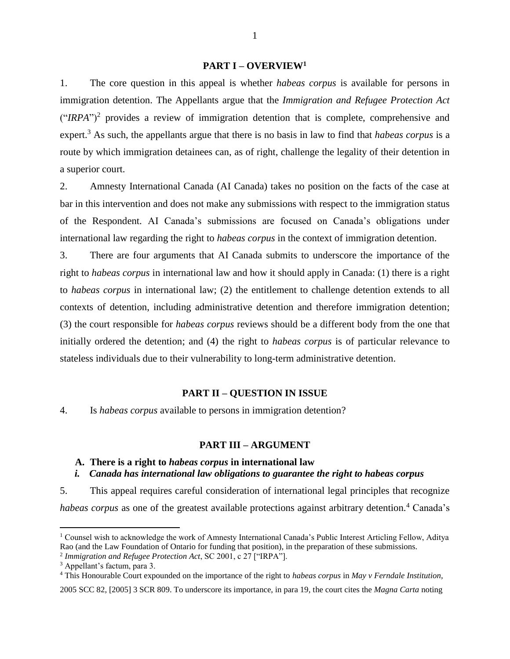#### **PART I – OVERVIEW<sup>1</sup>**

<span id="page-7-0"></span>1. The core question in this appeal is whether *habeas corpus* is available for persons in immigration detention. The Appellants argue that the *Immigration and Refugee Protection Act*   $("IRPA")<sup>2</sup>$  provides a review of immigration detention that is complete, comprehensive and expert.<sup>3</sup> As such, the appellants argue that there is no basis in law to find that *habeas corpus* is a route by which immigration detainees can, as of right, challenge the legality of their detention in a superior court.

2. Amnesty International Canada (AI Canada) takes no position on the facts of the case at bar in this intervention and does not make any submissions with respect to the immigration status of the Respondent. AI Canada's submissions are focused on Canada's obligations under international law regarding the right to *habeas corpus* in the context of immigration detention.

3. There are four arguments that AI Canada submits to underscore the importance of the right to *habeas corpus* in international law and how it should apply in Canada: (1) there is a right to *habeas corpus* in international law; (2) the entitlement to challenge detention extends to all contexts of detention, including administrative detention and therefore immigration detention; (3) the court responsible for *habeas corpus* reviews should be a different body from the one that initially ordered the detention; and (4) the right to *habeas corpus* is of particular relevance to stateless individuals due to their vulnerability to long-term administrative detention.

#### **PART II – QUESTION IN ISSUE**

<span id="page-7-1"></span>4. Is *habeas corpus* available to persons in immigration detention?

#### **PART III – ARGUMENT**

### <span id="page-7-3"></span><span id="page-7-2"></span>**A. There is a right to** *habeas corpus* **in international law**

#### <span id="page-7-4"></span>*i. Canada has international law obligations to guarantee the right to habeas corpus*

5. This appeal requires careful consideration of international legal principles that recognize *habeas corpus* as one of the greatest available protections against arbitrary detention.<sup>4</sup> Canada's

<sup>&</sup>lt;sup>1</sup> Counsel wish to acknowledge the work of Amnesty International Canada's Public Interest Articling Fellow, Aditya Rao (and the Law Foundation of Ontario for funding that position), in the preparation of these submissions.

<sup>2</sup> *Immigration and Refugee Protection Act*, SC 2001, c 27 ["IRPA"].

<sup>3</sup> Appellant's factum, para 3.

<sup>4</sup> This Honourable Court expounded on the importance of the right to *habeas corpus* in *May v Ferndale Institution,* 

<sup>2005</sup> SCC 82, [2005] 3 SCR 809. To underscore its importance, in para 19, the court cites the *Magna Carta* noting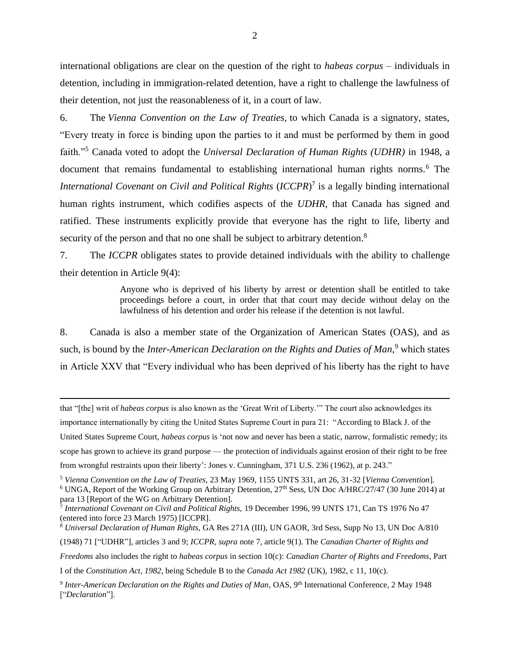international obligations are clear on the question of the right to *habeas corpus* – individuals in detention, including in immigration-related detention, have a right to challenge the lawfulness of their detention, not just the reasonableness of it, in a court of law.

6. The *Vienna Convention on the Law of Treaties,* to which Canada is a signatory, states, "Every treaty in force is binding upon the parties to it and must be performed by them in good faith."<sup>5</sup> Canada voted to adopt the *Universal Declaration of Human Rights (UDHR)* in 1948, a document that remains fundamental to establishing international human rights norms.<sup>6</sup> The *International Covenant on Civil and Political Rights* (*ICCPR*) 7 is a legally binding international human rights instrument, which codifies aspects of the *UDHR*, that Canada has signed and ratified. These instruments explicitly provide that everyone has the right to life, liberty and security of the person and that no one shall be subject to arbitrary detention.<sup>8</sup>

7. The *ICCPR* obligates states to provide detained individuals with the ability to challenge their detention in Article 9(4):

> <span id="page-8-2"></span><span id="page-8-1"></span><span id="page-8-0"></span>Anyone who is deprived of his liberty by arrest or detention shall be entitled to take proceedings before a court, in order that that court may decide without delay on the lawfulness of his detention and order his release if the detention is not lawful.

8. Canada is also a member state of the Organization of American States (OAS), and as such, is bound by the *Inter-American Declaration on the Rights and Duties of Man*,<sup>9</sup> which states in Article XXV that "Every individual who has been deprived of his liberty has the right to have

that "[the] writ of *habeas corpus* is also known as the 'Great Writ of Liberty.'" The court also acknowledges its importance internationally by citing the United States Supreme Court in para 21: "According to Black J. of the United States Supreme Court, *habeas corpus* is 'not now and never has been a static, narrow, formalistic remedy; its scope has grown to achieve its grand purpose — the protection of individuals against erosion of their right to be free from wrongful restraints upon their liberty': Jones v. Cunningham, 371 U.S. 236 (1962), at p. 243."

<sup>5</sup> *Vienna Convention on the Law of Treaties,* 23 May 1969, 1155 UNTS 331, art 26, 31-32 [*Vienna Convention*].

<sup>6</sup> UNGA, Report of the Working Group on Arbitrary Detention, 27<sup>th</sup> Sess, UN Doc A/HRC/27/47 (30 June 2014) at para 13 [Report of the WG on Arbitrary Detention].

7 *International Covenant on Civil and Political Rights,* 19 December 1996, 99 UNTS 171, Can TS 1976 No 47 (entered into force 23 March 1975) [ICCPR].

<sup>8</sup> *Universal Declaration of Human Rights,* GA Res 271A (III), UN GAOR, 3rd Sess, Supp No 13, UN Doc A/810

(1948) 71 ["UDHR"], articles 3 and 9; *ICCPR*, *supra* not[e 7,](#page-8-0) article 9(1). The *Canadian Charter of Rights and* 

*Freedoms* also includes the right to *habeas corpus* in section 10(c): *Canadian Charter of Rights and Freedoms*, Part

I of the *Constitution Act, 1982,* being Schedule B to the *Canada Act 1982* (UK), 1982, c 11, 10(c).

<sup>&</sup>lt;sup>9</sup> Inter-American Declaration on the Rights and Duties of Man, OAS, 9<sup>th</sup> International Conference, 2 May 1948 ["*Declaration*"].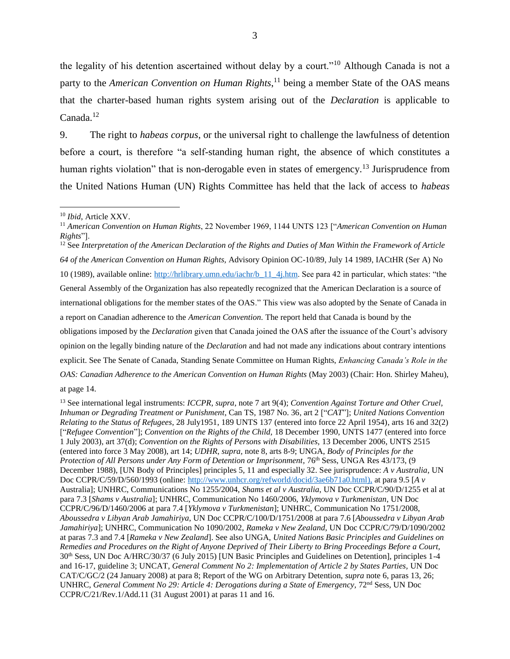the legality of his detention ascertained without delay by a court."<sup>10</sup> Although Canada is not a party to the *American Convention on Human Rights*, <sup>11</sup> being a member State of the OAS means that the charter-based human rights system arising out of the *Declaration* is applicable to Canada. 12

9. The right to *habeas corpus*, or the universal right to challenge the lawfulness of detention before a court, is therefore "a self-standing human right, the absence of which constitutes a human rights violation" that is non-derogable even in states of emergency.<sup>13</sup> Jurisprudence from the United Nations Human (UN) Rights Committee has held that the lack of access to *habeas* 

<span id="page-9-0"></span> $\overline{a}$ 

<sup>12</sup> See *Interpretation of the American Declaration of the Rights and Duties of Man Within the Framework of Article 64 of the American Convention on Human Rights,* Advisory Opinion OC-10/89, July 14 1989, IACtHR (Ser A) No 10 (1989), available online: [http://hrlibrary.umn.edu/iachr/b\\_11\\_4j.htm.](http://hrlibrary.umn.edu/iachr/b_11_4j.htm) See para 42 in particular, which states: "the General Assembly of the Organization has also repeatedly recognized that the American Declaration is a source of international obligations for the member states of the OAS." This view was also adopted by the Senate of Canada in a report on Canadian adherence to the *American Convention.* The report held that Canada is bound by the obligations imposed by the *Declaration* given that Canada joined the OAS after the issuance of the Court's advisory opinion on the legally binding nature of the *Declaration* and had not made any indications about contrary intentions explicit. See The Senate of Canada, Standing Senate Committee on Human Rights, *Enhancing Canada's Role in the OAS: Canadian Adherence to the American Convention on Human Rights* (May 2003) (Chair: Hon. Shirley Maheu),

at page 14.

<sup>10</sup> *Ibid*, Article XXV.

<sup>11</sup> *American Convention on Human Rights*, 22 November 1969, 1144 UNTS 123 ["*American Convention on Human Rights*"].

<sup>13</sup> See international legal instruments: *ICCPR*, *supra*, note [7](#page-8-0) art 9(4); *Convention Against Torture and Other Cruel, Inhuman or Degrading Treatment or Punishment*, Can TS, 1987 No. 36, art 2 ["*CAT*"]; *United Nations Convention Relating to the Status of Refugees*, 28 July1951, 189 UNTS 137 (entered into force 22 April 1954), arts 16 and 32(2) ["*Refugee Convention*"]; *Convention on the Rights of the Child,* 18 December 1990, UNTS 1477 (entered into force 1 July 2003), art 37(d); *Convention on the Rights of Persons with Disabilities,* 13 December 2006, UNTS 2515 (entered into force 3 May 2008), art 14; *UDHR*, *supra,* not[e 8,](#page-8-1) arts 8-9; UNGA, *Body of Principles for the Protection of All Persons under Any Form of Detention or Imprisonment,*  $76<sup>th</sup> Sess, UNGA Res 43/173, (9)$ December 1988), [UN Body of Principles] principles 5, 11 and especially 32. See jurisprudence: *A v Australia*, UN Doc CCPR/C/59/D/560/1993 (online: [http://www.unhcr.org/refworld/docid/3ae6b71a0.html\)](http://www.unhcr.org/refworld/docid/3ae6b71a0.html), at para 9.5 [*A v*  Australia]; UNHRC, Communications No 1255/2004, *Shams et al v Australia*, UN Doc CCPR/C/90/D/1255 et al at para 7.3 [*Shams v Australia*]; UNHRC, Communication No 1460/2006, *Yklymova v Turkmenistan*, UN Doc CCPR/C/96/D/1460/2006 at para 7.4 [*Yklymova v Turkmenistan*]; UNHRC, Communication No 1751/2008, *Aboussedra v Libyan Arab Jamahiriya*, UN Doc CCPR/C/100/D/1751/2008 at para 7.6 [*Aboussedra v Libyan Arab Jamahiriya*]; UNHRC, Communication No 1090/2002, *Rameka v New Zealand*, UN Doc CCPR/C/79/D/1090/2002 at paras 7.3 and 7.4 [*Rameka v New Zealand*]. See also UNGA, *United Nations Basic Principles and Guidelines on Remedies and Procedures on the Right of Anyone Deprived of Their Liberty to Bring Proceedings Before a Court,*  30th Sess, UN Doc A/HRC/30/37 (6 July 2015) [UN Basic Principles and Guidelines on Detention], principles 1-4 and 16-17, guideline 3; UNCAT, *General Comment No 2: Implementation of Article 2 by States Parties,* UN Doc CAT/C/GC/2 (24 January 2008) at para 8; Report of the WG on Arbitrary Detention, *supra* not[e 6,](#page-8-2) paras 13, 26; UNHRC, *General Comment No 29: Article 4: Derogations during a State of Emergency, 72<sup>nd</sup> Sess, UN Doc* CCPR/C/21/Rev.1/Add.11 (31 August 2001) at paras 11 and 16.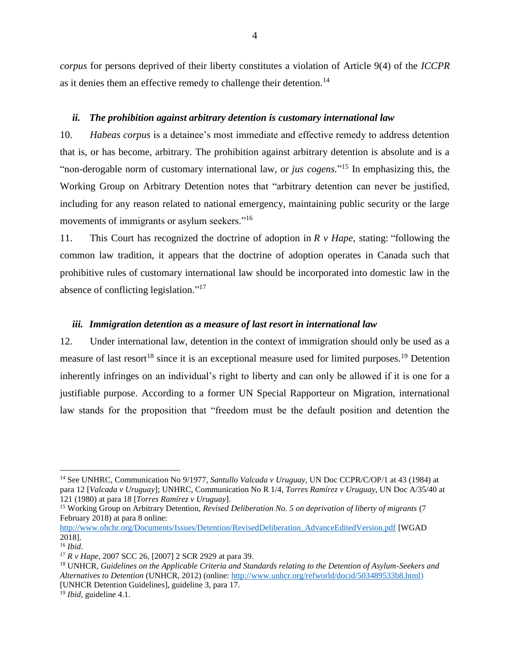*corpus* for persons deprived of their liberty constitutes a violation of Article 9(4) of the *ICCPR* as it denies them an effective remedy to challenge their detention.<sup>14</sup>

#### <span id="page-10-0"></span>*ii. The prohibition against arbitrary detention is customary international law*

10. *Habeas corpus* is a detainee's most immediate and effective remedy to address detention that is, or has become, arbitrary. The prohibition against arbitrary detention is absolute and is a "non-derogable norm of customary international law, or *jus cogens.*" <sup>15</sup> In emphasizing this, the Working Group on Arbitrary Detention notes that "arbitrary detention can never be justified, including for any reason related to national emergency, maintaining public security or the large movements of immigrants or asylum seekers."<sup>16</sup>

11. This Court has recognized the doctrine of adoption in *R v Hape*, stating: "following the common law tradition, it appears that the doctrine of adoption operates in Canada such that prohibitive rules of customary international law should be incorporated into domestic law in the absence of conflicting legislation."<sup>17</sup>

#### <span id="page-10-2"></span><span id="page-10-1"></span>*iii. Immigration detention as a measure of last resort in international law*

12. Under international law, detention in the context of immigration should only be used as a measure of last resort<sup>18</sup> since it is an exceptional measure used for limited purposes.<sup>19</sup> Detention inherently infringes on an individual's right to liberty and can only be allowed if it is one for a justifiable purpose. According to a former UN Special Rapporteur on Migration, international law stands for the proposition that "freedom must be the default position and detention the

<sup>14</sup> See UNHRC, Communication No 9/1977, *Santullo Valcada v Uruguay,* UN Doc CCPR/C/OP/1 at 43 (1984) at para 12 [*Valcada v Uruguay*]; UNHRC, Communication No R 1/4, *Torres Ramírez v Uruguay*, UN Doc A/35/40 at 121 (1980) at para 18 [*Torres Ramírez v Uruguay*].

<sup>15</sup> Working Group on Arbitrary Detention, *Revised Deliberation No. 5 on deprivation of liberty of migrants* (7 February 2018) at para 8 online:

[http://www.ohchr.org/Documents/Issues/Detention/RevisedDeliberation\\_AdvanceEditedVersion.pdf](http://www.ohchr.org/Documents/Issues/Detention/RevisedDeliberation_AdvanceEditedVersion.pdf) [WGAD 2018].

<sup>16</sup> *Ibid*.

<sup>17</sup> *R v Hape,* 2007 SCC 26, [2007] 2 SCR 2929 at para 39.

<sup>18</sup> UNHCR, *Guidelines on the Applicable Criteria and Standards relating to the Detention of Asylum-Seekers and Alternatives to Detention* (UNHCR, 2012) (online: [http://www.unhcr.org/refworld/docid/503489533b8.html\)](http://www.unhcr.org/refworld/docid/503489533b8.html) [UNHCR Detention Guidelines], guideline 3, para 17.

<sup>19</sup> *Ibid,* guideline 4.1.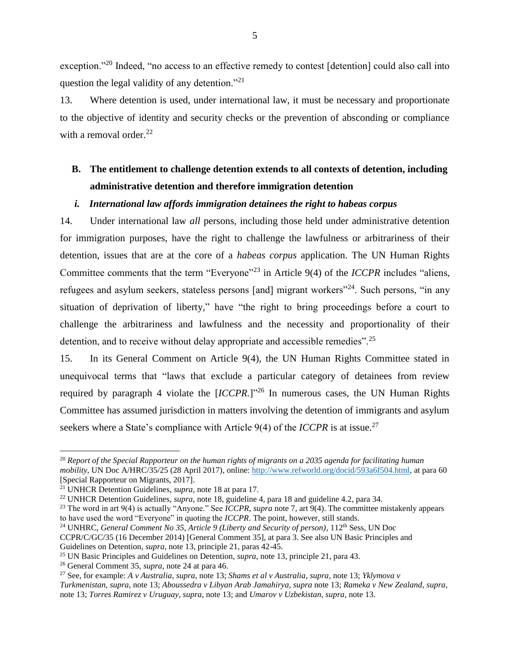exception."<sup>20</sup> Indeed, "no access to an effective remedy to contest [detention] could also call into question the legal validity of any detention."<sup>21</sup>

13. Where detention is used, under international law, it must be necessary and proportionate to the objective of identity and security checks or the prevention of absconding or compliance with a removal order. $^{22}$ 

# <span id="page-11-0"></span>**B. The entitlement to challenge detention extends to all contexts of detention, including administrative detention and therefore immigration detention**

#### <span id="page-11-2"></span><span id="page-11-1"></span>*i. International law affords immigration detainees the right to habeas corpus*

14. Under international law *all* persons, including those held under administrative detention for immigration purposes, have the right to challenge the lawfulness or arbitrariness of their detention, issues that are at the core of a *habeas corpus* application. The UN Human Rights Committee comments that the term "Everyone"<sup>23</sup> in Article 9(4) of the *ICCPR* includes "aliens, refugees and asylum seekers, stateless persons [and] migrant workers<sup>"24</sup>. Such persons, "in any situation of deprivation of liberty," have "the right to bring proceedings before a court to challenge the arbitrariness and lawfulness and the necessity and proportionality of their detention, and to receive without delay appropriate and accessible remedies".<sup>25</sup>

15. In its General Comment on Article 9(4), the UN Human Rights Committee stated in unequivocal terms that "laws that exclude a particular category of detainees from review required by paragraph 4 violate the  $[ICCPR.]$ <sup>26</sup> In numerous cases, the UN Human Rights Committee has assumed jurisdiction in matters involving the detention of immigrants and asylum seekers where a State's compliance with Article 9(4) of the *ICCPR* is at issue.<sup>27</sup>

<sup>20</sup> *Report of the Special Rapporteur on the human rights of migrants on a 2035 agenda for facilitating human mobility*, UN Doc A/HRC/35/25 (28 April 2017), online[: http://www.refworld.org/docid/593a6f504.html,](http://www.refworld.org/docid/593a6f504.html) at para 60 [Special Rapporteur on Migrants, 2017].

<sup>21</sup> UNHCR Detention Guidelines, *supra,* note [18](#page-10-2) at para 17.

<sup>22</sup> UNHCR Detention Guidelines, *supra*, note [18,](#page-10-2) guideline 4, para 18 and guideline 4.2, para 34.

<sup>&</sup>lt;sup>23</sup> The word in art 9(4) is actually "Anyone." See *ICCPR*, *supra* note [7,](#page-8-0) art 9(4). The committee mistakenly appears to have used the word "Everyone" in quoting the *ICCPR*. The point, however, still stands.

<sup>&</sup>lt;sup>24</sup> UNHRC, *General Comment No 35*, Article 9 (Liberty and Security of person), 112<sup>th</sup> Sess, UN Doc CCPR/C/GC/35 (16 December 2014) [General Comment 35], at para 3. See also UN Basic Principles and

Guidelines on Detention, *supra*, note [13,](#page-9-0) principle 21, paras 42-45.

<sup>25</sup> UN Basic Principles and Guidelines on Detention, *supra,* note [13,](#page-9-0) principle 21, para 43.

<sup>26</sup> General Comment 35, *supra,* not[e 24](#page-11-2) at para 46.

<sup>27</sup> See, for example: *A v Australia, supra*, note [13;](#page-9-0) *Shams et al v Australia, supra,* not[e 13;](#page-9-0) *Yklymova v Turkmenistan*, *supra*, note [13;](#page-9-0) *Aboussedra v Libyan Arab Jamahirya, supra* note [13;](#page-9-0) *Rameka v New Zealand, supra*, not[e 13;](#page-9-0) *Torres Ramirez v Uruguay, supra,* note [13;](#page-9-0) and *Umarov v Uzbekistan, supra,* not[e 13.](#page-9-0)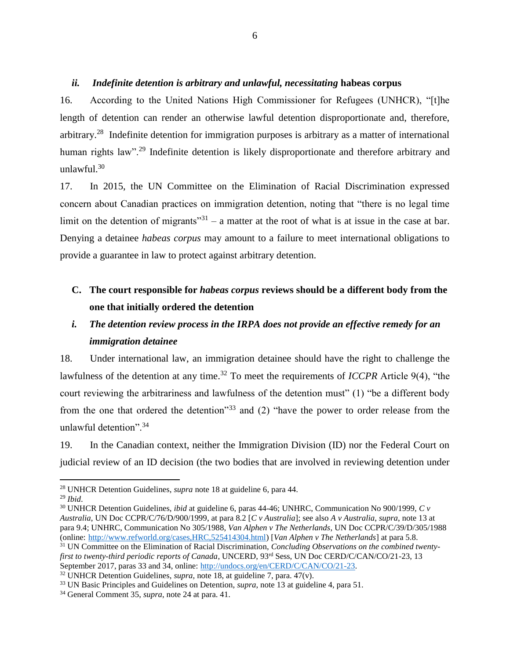#### <span id="page-12-0"></span>*ii. Indefinite detention is arbitrary and unlawful, necessitating* **habeas corpus**

16. According to the United Nations High Commissioner for Refugees (UNHCR), "[t]he length of detention can render an otherwise lawful detention disproportionate and, therefore, arbitrary.<sup>28</sup> Indefinite detention for immigration purposes is arbitrary as a matter of international human rights law"<sup>29</sup> Indefinite detention is likely disproportionate and therefore arbitrary and unlawful.<sup>30</sup>

17. In 2015, the UN Committee on the Elimination of Racial Discrimination expressed concern about Canadian practices on immigration detention, noting that "there is no legal time limit on the detention of migrants<sup>"31</sup> – a matter at the root of what is at issue in the case at bar. Denying a detainee *habeas corpus* may amount to a failure to meet international obligations to provide a guarantee in law to protect against arbitrary detention.

# <span id="page-12-1"></span>**C. The court responsible for** *habeas corpus* **reviews should be a different body from the one that initially ordered the detention**

# <span id="page-12-2"></span>*i. The detention review process in the IRPA does not provide an effective remedy for an immigration detainee*

18. Under international law, an immigration detainee should have the right to challenge the lawfulness of the detention at any time.<sup>32</sup> To meet the requirements of *ICCPR* Article 9(4), "the court reviewing the arbitrariness and lawfulness of the detention must" (1) "be a different body from the one that ordered the detention"<sup>33</sup> and (2) "have the power to order release from the unlawful detention".<sup>34</sup>

19. In the Canadian context, neither the Immigration Division (ID) nor the Federal Court on judicial review of an ID decision (the two bodies that are involved in reviewing detention under

<sup>28</sup> UNHCR Detention Guidelines, *supra* note [18](#page-10-2) at guideline 6, para 44.

<sup>29</sup> *Ibid*.

<sup>30</sup> UNHCR Detention Guidelines, *ibid* at guideline 6, paras 44-46; UNHRC, Communication No 900/1999, *C v Australia*, UN Doc CCPR/C/76/D/900/1999, at para 8.2 [*C v Australia*]; see also *A v Australia*, *supra*, not[e 13](#page-9-0) at para 9.4; UNHRC, Communication No 305/1988, *Van Alphen v The Netherlands*, UN Doc CCPR/C/39/D/305/1988 (online: [http://www.refworld.org/cases,HRC,525414304.html\)](http://www.refworld.org/cases,HRC,525414304.html) [*Van Alphen v The Netherlands*] at para 5.8.

<sup>31</sup> UN Committee on the Elimination of Racial Discrimination, *Concluding Observations on the combined twentyfirst to twenty-third periodic reports of Canada*, UNCERD, 93rd Sess, UN Doc CERD/C/CAN/CO/21-23, 13 September 2017, paras 33 and 34, online: [http://undocs.org/en/CERD/C/CAN/CO/21-23.](http://undocs.org/en/CERD/C/CAN/CO/21-23) 

<sup>32</sup> UNHCR Detention Guidelines, *supra,* note [18,](#page-10-2) at guideline 7, para. 47(v).

<sup>33</sup> UN Basic Principles and Guidelines on Detention, *supra*, note [13](#page-9-0) at guideline 4, para 51.

<sup>34</sup> General Comment 35, *supra*, not[e 24](#page-11-2) at para. 41.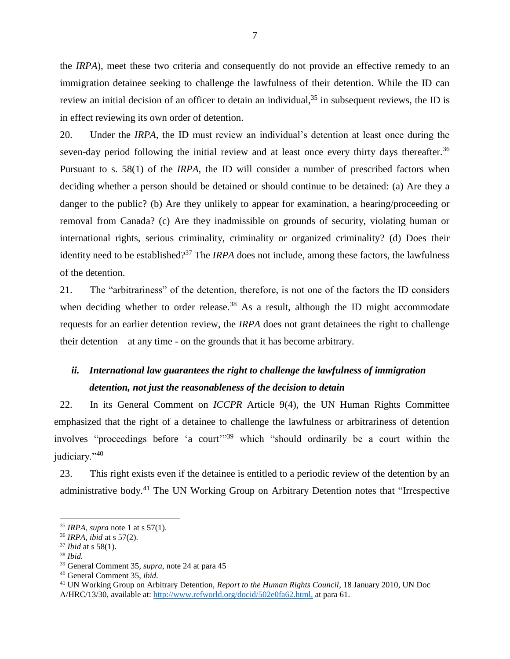the *IRPA*), meet these two criteria and consequently do not provide an effective remedy to an immigration detainee seeking to challenge the lawfulness of their detention. While the ID can review an initial decision of an officer to detain an individual,  $35$  in subsequent reviews, the ID is in effect reviewing its own order of detention.

20. Under the *IRPA*, the ID must review an individual's detention at least once during the seven-day period following the initial review and at least once every thirty days thereafter.<sup>36</sup> Pursuant to s. 58(1) of the *IRPA,* the ID will consider a number of prescribed factors when deciding whether a person should be detained or should continue to be detained: (a) Are they a danger to the public? (b) Are they unlikely to appear for examination, a hearing/proceeding or removal from Canada? (c) Are they inadmissible on grounds of security, violating human or international rights, serious criminality, criminality or organized criminality? (d) Does their identity need to be established? <sup>37</sup> The *IRPA* does not include, among these factors, the lawfulness of the detention.

21. The "arbitrariness" of the detention, therefore, is not one of the factors the ID considers when deciding whether to order release.<sup>38</sup> As a result, although the ID might accommodate requests for an earlier detention review, the *IRPA* does not grant detainees the right to challenge their detention – at any time - on the grounds that it has become arbitrary.

# <span id="page-13-0"></span>*ii. International law guarantees the right to challenge the lawfulness of immigration detention, not just the reasonableness of the decision to detain*

22. In its General Comment on *ICCPR* Article 9(4), the UN Human Rights Committee emphasized that the right of a detainee to challenge the lawfulness or arbitrariness of detention involves "proceedings before 'a court'" <sup>39</sup> which "should ordinarily be a court within the judiciary."40

23. This right exists even if the detainee is entitled to a periodic review of the detention by an administrative body.<sup>41</sup> The UN Working Group on Arbitrary Detention notes that "Irrespective

<sup>35</sup> *IRPA*, *supra* note 1 at s 57(1).

<sup>36</sup> *IRPA, ibid* at s 57(2).

<sup>37</sup> *Ibid* at s 58(1).

<sup>38</sup> *Ibid.*

<sup>39</sup> General Comment 35, *supra*, not[e 24](#page-11-2) at para 45

<sup>40</sup> General Comment 35, *ibid.*

<sup>41</sup> UN Working Group on Arbitrary Detention, *Report to the Human Rights Council*, 18 January 2010, UN Doc A/HRC/13/30, available at: [http://www.refworld.org/docid/502e0fa62.html,](http://www.refworld.org/docid/502e0fa62.html) at para 61.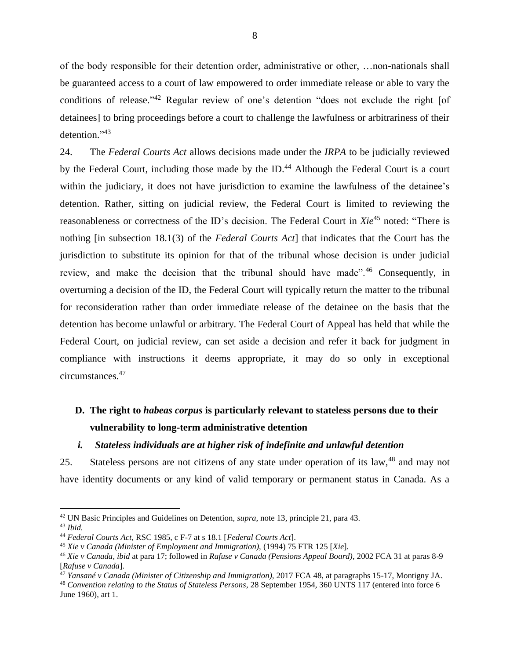of the body responsible for their detention order, administrative or other, …non-nationals shall be guaranteed access to a court of law empowered to order immediate release or able to vary the conditions of release."<sup>42</sup> Regular review of one's detention "does not exclude the right [of detainees] to bring proceedings before a court to challenge the lawfulness or arbitrariness of their detention."<sup>43</sup>

24. The *Federal Courts Act* allows decisions made under the *IRPA* to be judicially reviewed by the Federal Court, including those made by the ID.<sup>44</sup> Although the Federal Court is a court within the judiciary, it does not have jurisdiction to examine the lawfulness of the detainee's detention. Rather, sitting on judicial review, the Federal Court is limited to reviewing the reasonableness or correctness of the ID's decision. The Federal Court in *Xie*<sup>45</sup> noted: "There is nothing [in subsection 18.1(3) of the *Federal Courts Act*] that indicates that the Court has the jurisdiction to substitute its opinion for that of the tribunal whose decision is under judicial review, and make the decision that the tribunal should have made".<sup>46</sup> Consequently, in overturning a decision of the ID, the Federal Court will typically return the matter to the tribunal for reconsideration rather than order immediate release of the detainee on the basis that the detention has become unlawful or arbitrary. The Federal Court of Appeal has held that while the Federal Court, on judicial review, can set aside a decision and refer it back for judgment in compliance with instructions it deems appropriate, it may do so only in exceptional circumstances.<sup>47</sup>

# <span id="page-14-0"></span>**D. The right to** *habeas corpus* **is particularly relevant to stateless persons due to their vulnerability to long-term administrative detention**

#### <span id="page-14-1"></span>*i. Stateless individuals are at higher risk of indefinite and unlawful detention*

25. Stateless persons are not citizens of any state under operation of its law,<sup>48</sup> and may not have identity documents or any kind of valid temporary or permanent status in Canada. As a

 $\overline{a}$ 

<sup>48</sup> *Convention relating to the Status of Stateless Persons*, 28 September 1954, 360 UNTS 117 (entered into force 6 June 1960), art 1.

<sup>42</sup> UN Basic Principles and Guidelines on Detention, *supra,* note [13](#page-9-0)*,* principle 21, para 43. <sup>43</sup> *Ibid.*

<sup>44</sup> *Federal Courts Act*, RSC 1985, c F-7 at s 18.1 [*Federal Courts Act*].

<sup>45</sup> *Xie v Canada (Minister of Employment and Immigration),* (1994) 75 FTR 125 [*Xie*].

<sup>46</sup> *Xie v Canada*, *ibid* at para 17; followed in *Rafuse v Canada (Pensions Appeal Board)*, 2002 FCA 31 at paras 8-9 [*Rafuse v Canada*].

<sup>47</sup> *Yansané v Canada (Minister of Citizenship and Immigration),* 2017 FCA 48, at paragraphs 15-17, Montigny JA.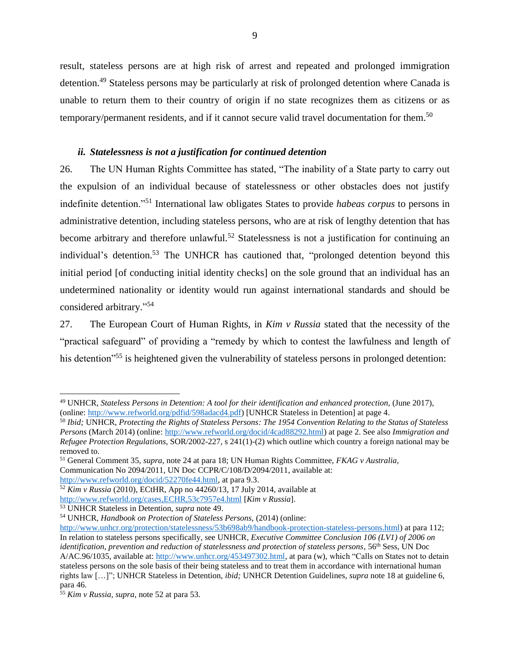<span id="page-15-1"></span>result, stateless persons are at high risk of arrest and repeated and prolonged immigration detention.<sup>49</sup> Stateless persons may be particularly at risk of prolonged detention where Canada is unable to return them to their country of origin if no state recognizes them as citizens or as temporary/permanent residents, and if it cannot secure valid travel documentation for them.<sup>50</sup>

#### <span id="page-15-2"></span>*ii. Statelessness is not a justification for continued detention*

<span id="page-15-0"></span>26. The UN Human Rights Committee has stated, "The inability of a State party to carry out the expulsion of an individual because of statelessness or other obstacles does not justify indefinite detention."<sup>51</sup> International law obligates States to provide *habeas corpus* to persons in administrative detention, including stateless persons, who are at risk of lengthy detention that has become arbitrary and therefore unlawful.<sup>52</sup> Statelessness is not a justification for continuing an individual's detention.<sup>53</sup> The UNHCR has cautioned that, "prolonged detention beyond this initial period [of conducting initial identity checks] on the sole ground that an individual has an undetermined nationality or identity would run against international standards and should be considered arbitrary." 54

27. The European Court of Human Rights, in *Kim v Russia* stated that the necessity of the "practical safeguard" of providing a "remedy by which to contest the lawfulness and length of his detention<sup>355</sup> is heightened given the vulnerability of stateless persons in prolonged detention:

<sup>49</sup> UNHCR, *Stateless Persons in Detention: A tool for their identification and enhanced protection,* (June 2017), (online: [http://www.refworld.org/pdfid/598adacd4.pdf\)](http://www.refworld.org/pdfid/598adacd4.pdf) [UNHCR Stateless in Detention] at page 4.

<sup>50</sup> *Ibid;* UNHCR, *Protecting the Rights of Stateless Persons: The 1954 Convention Relating to the Status of Stateless Persons* (March 2014) (online: [http://www.refworld.org/docid/4cad88292.html\)](http://www.refworld.org/docid/4cad88292.html) at page 2. See also *Immigration and Refugee Protection Regulations*, SOR/2002-227, s 241(1)-(2) which outline which country a foreign national may be removed to.

<sup>51</sup> General Comment 35, *supra*, not[e 24](#page-11-2) at para 18; UN Human Rights Committee, *FKAG v Australia,*  Communication No 2094/2011, UN Doc CCPR/C/108/D/2094/2011, available at: [http://www.refworld.org/docid/52270fe44.html,](http://www.refworld.org/docid/52270fe44.html) at para 9.3.

<sup>52</sup> *Kim v Russia* (2010), ECtHR, App no 44260/13, 17 July 2014, available at <http://www.refworld.org/cases,ECHR,53c7957e4.html> [*Kim v Russia*].

<sup>53</sup> UNHCR Stateless in Detention, *supra* note [49.](#page-15-1)

<sup>54</sup> UNHCR, *Handbook on Protection of Stateless Persons,* (2014) (online:

[http://www.unhcr.org/protection/statelessness/53b698ab9/handbook-protection-stateless-persons.html\)](http://www.unhcr.org/protection/statelessness/53b698ab9/handbook-protection-stateless-persons.html) at para 112; In relation to stateless persons specifically, see UNHCR, *Executive Committee Conclusion 106 (LV1) of 2006 on identification, prevention and reduction of statelessness and protection of stateless persons*, 56th Sess, UN Doc A/AC.96/1035, available at: [http://www.unhcr.org/453497302.html,](http://www.unhcr.org/453497302.html) at para (w), which "Calls on States not to detain stateless persons on the sole basis of their being stateless and to treat them in accordance with international human rights law […]"; UNHCR Stateless in Detention, *ibid;* UNHCR Detention Guidelines, *supra* not[e 18](#page-10-2) at guideline 6, para 46.

<sup>55</sup> *Kim v Russia, supra,* note [52](#page-15-2) at para 53.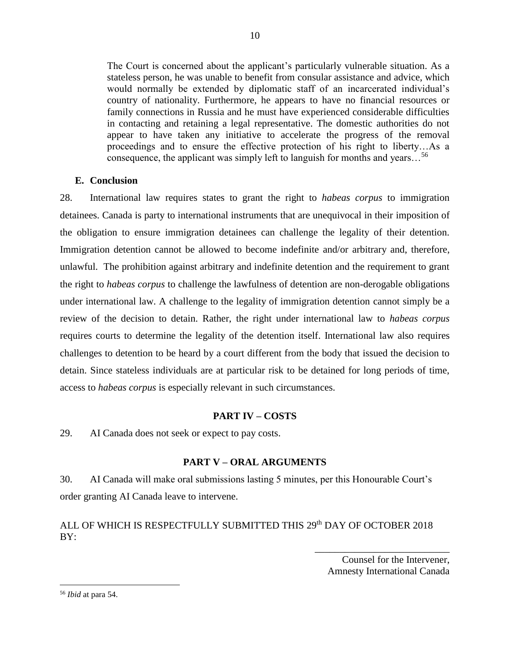The Court is concerned about the applicant's particularly vulnerable situation. As a stateless person, he was unable to benefit from consular assistance and advice, which would normally be extended by diplomatic staff of an incarcerated individual's country of nationality. Furthermore, he appears to have no financial resources or family connections in Russia and he must have experienced considerable difficulties in contacting and retaining a legal representative. The domestic authorities do not appear to have taken any initiative to accelerate the progress of the removal proceedings and to ensure the effective protection of his right to liberty…As a consequence, the applicant was simply left to languish for months and years…<sup>56</sup>

## <span id="page-16-0"></span>**E. Conclusion**

28. International law requires states to grant the right to *habeas corpus* to immigration detainees. Canada is party to international instruments that are unequivocal in their imposition of the obligation to ensure immigration detainees can challenge the legality of their detention. Immigration detention cannot be allowed to become indefinite and/or arbitrary and, therefore, unlawful. The prohibition against arbitrary and indefinite detention and the requirement to grant the right to *habeas corpus* to challenge the lawfulness of detention are non-derogable obligations under international law. A challenge to the legality of immigration detention cannot simply be a review of the decision to detain. Rather, the right under international law to *habeas corpus* requires courts to determine the legality of the detention itself. International law also requires challenges to detention to be heard by a court different from the body that issued the decision to detain. Since stateless individuals are at particular risk to be detained for long periods of time, access to *habeas corpus* is especially relevant in such circumstances.

#### **PART IV – COSTS**

<span id="page-16-1"></span>29. AI Canada does not seek or expect to pay costs.

# **PART V – ORAL ARGUMENTS**

<span id="page-16-2"></span>30. AI Canada will make oral submissions lasting 5 minutes, per this Honourable Court's order granting AI Canada leave to intervene.

# ALL OF WHICH IS RESPECTFULLY SUBMITTED THIS 29<sup>th</sup> DAY OF OCTOBER 2018 BY:

Counsel for the Intervener, Amnesty International Canada

\_\_\_\_\_\_\_\_\_\_\_\_\_\_\_\_\_\_\_\_\_\_\_\_\_\_\_

<sup>56</sup> *Ibid* at para 54.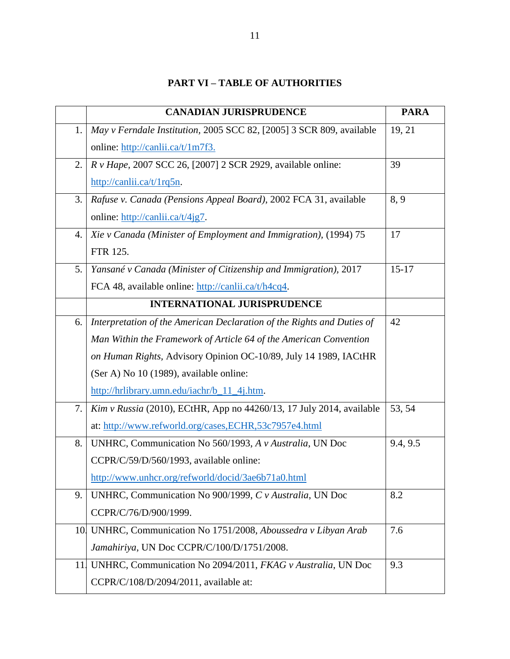# **PART VI – TABLE OF AUTHORITIES**

<span id="page-17-0"></span>

|    | <b>CANADIAN JURISPRUDENCE</b>                                          | <b>PARA</b> |
|----|------------------------------------------------------------------------|-------------|
| 1. | May v Ferndale Institution, 2005 SCC 82, [2005] 3 SCR 809, available   | 19, 21      |
|    | online: http://canlii.ca/t/1m7f3.                                      |             |
| 2. | <i>R v Hape, 2007 SCC 26, [2007] 2 SCR 2929, available online:</i>     | 39          |
|    | $\frac{http://canli.ca/t/1rq5n}{http://canli.ca/t/1rq5n}$ .            |             |
| 3. | Rafuse v. Canada (Pensions Appeal Board), 2002 FCA 31, available       | 8, 9        |
|    | online: http://canlii.ca/t/4jg7.                                       |             |
| 4. | Xie v Canada (Minister of Employment and Immigration), (1994) 75       | 17          |
|    | FTR 125.                                                               |             |
| 5. | Yansané v Canada (Minister of Citizenship and Immigration), 2017       | $15 - 17$   |
|    | FCA 48, available online: http://canlii.ca/t/h4cq4.                    |             |
|    | <b>INTERNATIONAL JURISPRUDENCE</b>                                     |             |
| 6. | Interpretation of the American Declaration of the Rights and Duties of | 42          |
|    | Man Within the Framework of Article 64 of the American Convention      |             |
|    | on Human Rights, Advisory Opinion OC-10/89, July 14 1989, IACtHR       |             |
|    | (Ser A) No 10 (1989), available online:                                |             |
|    | http://hrlibrary.umn.edu/iachr/b_11_4j.htm.                            |             |
| 7. | $Kim v Russia (2010), ECHR, App no 44260/13, 17 July 2014, available$  | 53, 54      |
|    | at: http://www.refworld.org/cases,ECHR,53c7957e4.html                  |             |
| 8. | UNHRC, Communication No 560/1993, A v Australia, UN Doc                | 9.4, 9.5    |
|    | CCPR/C/59/D/560/1993, available online:                                |             |
|    | http://www.unhcr.org/refworld/docid/3ae6b71a0.html                     |             |
| 9. | UNHRC, Communication No 900/1999, C v Australia, UN Doc                | 8.2         |
|    | CCPR/C/76/D/900/1999.                                                  |             |
|    | 10 UNHRC, Communication No 1751/2008, Aboussedra v Libyan Arab         | 7.6         |
|    | Jamahiriya, UN Doc CCPR/C/100/D/1751/2008.                             |             |
| 11 | UNHRC, Communication No 2094/2011, FKAG v Australia, UN Doc            | 9.3         |
|    | CCPR/C/108/D/2094/2011, available at:                                  |             |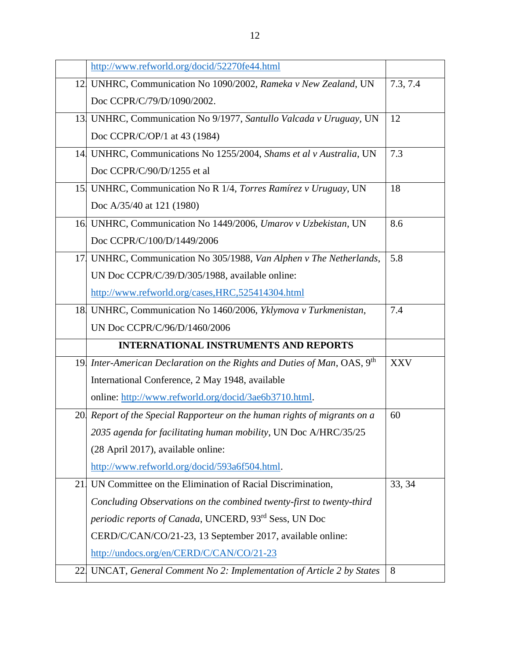|            | http://www.refworld.org/docid/52270fe44.html                                        |            |
|------------|-------------------------------------------------------------------------------------|------------|
|            | 12 UNHRC, Communication No 1090/2002, Rameka v New Zealand, UN                      | 7.3, 7.4   |
|            | Doc CCPR/C/79/D/1090/2002.                                                          |            |
|            | 13 UNHRC, Communication No 9/1977, Santullo Valcada v Uruguay, UN                   | 12         |
|            | Doc CCPR/C/OP/1 at 43 (1984)                                                        |            |
|            | 14 UNHRC, Communications No 1255/2004, Shams et al v Australia, UN                  | 7.3        |
|            | Doc CCPR/C/90/D/1255 et al                                                          |            |
|            | 15 UNHRC, Communication No R 1/4, Torres Ramírez v Uruguay, UN                      | 18         |
|            | Doc A/35/40 at 121 (1980)                                                           |            |
|            | 16 UNHRC, Communication No 1449/2006, Umarov v Uzbekistan, UN                       | 8.6        |
|            | Doc CCPR/C/100/D/1449/2006                                                          |            |
|            | 17 UNHRC, Communication No 305/1988, Van Alphen v The Netherlands,                  | 5.8        |
|            | UN Doc CCPR/C/39/D/305/1988, available online:                                      |            |
|            | http://www.refworld.org/cases, HRC, 525414304.html                                  |            |
|            | 18 UNHRC, Communication No 1460/2006, Yklymova v Turkmenistan,                      | 7.4        |
|            | UN Doc CCPR/C/96/D/1460/2006                                                        |            |
|            | <b>INTERNATIONAL INSTRUMENTS AND REPORTS</b>                                        |            |
|            | 19 Inter-American Declaration on the Rights and Duties of Man, OAS, 9 <sup>th</sup> | <b>XXV</b> |
|            | International Conference, 2 May 1948, available                                     |            |
|            | online: http://www.refworld.org/docid/3ae6b3710.html.                               |            |
| <b>20.</b> | Report of the Special Rapporteur on the human rights of migrants on a               | 60         |
|            | 2035 agenda for facilitating human mobility, UN Doc A/HRC/35/25                     |            |
|            | (28 April 2017), available online:                                                  |            |
|            | http://www.refworld.org/docid/593a6f504.html.                                       |            |
| 21         | UN Committee on the Elimination of Racial Discrimination,                           | 33, 34     |
|            | Concluding Observations on the combined twenty-first to twenty-third                |            |
|            | periodic reports of Canada, UNCERD, 93rd Sess, UN Doc                               |            |
|            | CERD/C/CAN/CO/21-23, 13 September 2017, available online:                           |            |
|            | http://undocs.org/en/CERD/C/CAN/CO/21-23                                            |            |
| 22.        | UNCAT, General Comment No 2: Implementation of Article 2 by States                  | 8          |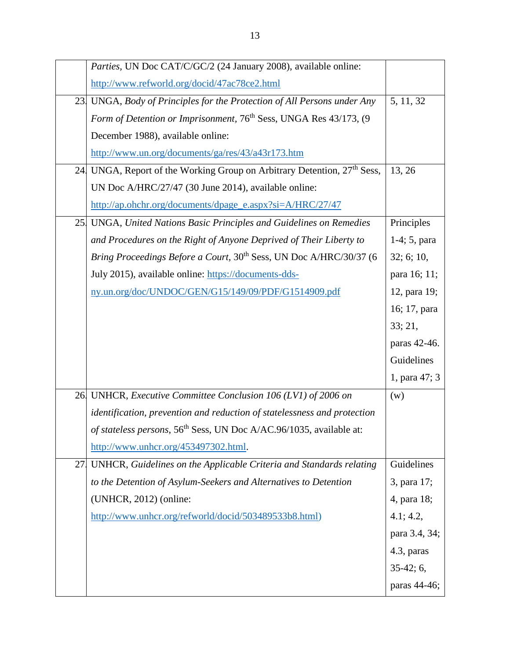|     | Parties, UN Doc CAT/C/GC/2 (24 January 2008), available online:                     |                |
|-----|-------------------------------------------------------------------------------------|----------------|
|     | http://www.refworld.org/docid/47ac78ce2.html                                        |                |
|     | 23 UNGA, Body of Principles for the Protection of All Persons under Any             | 5, 11, 32      |
|     | Form of Detention or Imprisonment, 76 <sup>th</sup> Sess, UNGA Res 43/173, (9       |                |
|     | December 1988), available online:                                                   |                |
|     | http://www.un.org/documents/ga/res/43/a43r173.htm                                   |                |
|     | 24 UNGA, Report of the Working Group on Arbitrary Detention, 27 <sup>th</sup> Sess, | 13, 26         |
|     | UN Doc A/HRC/27/47 (30 June 2014), available online:                                |                |
|     | http://ap.ohchr.org/documents/dpage_e.aspx?si=A/HRC/27/47                           |                |
|     | 25 UNGA, United Nations Basic Principles and Guidelines on Remedies                 | Principles     |
|     | and Procedures on the Right of Anyone Deprived of Their Liberty to                  | $1-4; 5, para$ |
|     | Bring Proceedings Before a Court, 30 <sup>th</sup> Sess, UN Doc A/HRC/30/37 (6      | 32; 6; 10,     |
|     | July 2015), available online: https://documents-dds-                                | para 16; 11;   |
|     | ny.un.org/doc/UNDOC/GEN/G15/149/09/PDF/G1514909.pdf                                 | 12, para 19;   |
|     |                                                                                     | 16; 17, para   |
|     |                                                                                     | 33; 21,        |
|     |                                                                                     | paras 42-46.   |
|     |                                                                                     | Guidelines     |
|     |                                                                                     | 1, para 47; 3  |
|     | 26 UNHCR, Executive Committee Conclusion 106 (LV1) of 2006 on                       | (w)            |
|     | identification, prevention and reduction of statelessness and protection            |                |
|     | of stateless persons, 56 <sup>th</sup> Sess, UN Doc A/AC.96/1035, available at:     |                |
|     | http://www.unhcr.org/453497302.html.                                                |                |
| 27. | UNHCR, Guidelines on the Applicable Criteria and Standards relating                 | Guidelines     |
|     | to the Detention of Asylum-Seekers and Alternatives to Detention                    | 3, para 17;    |
|     | $(UNHCR, 2012)$ (online:                                                            | 4, para 18;    |
|     | http://www.unhcr.org/refworld/docid/503489533b8.html)                               | 4.1; 4.2,      |
|     |                                                                                     | para 3.4, 34;  |
|     |                                                                                     | 4.3, paras     |
|     |                                                                                     | $35-42; 6,$    |
|     |                                                                                     | paras 44-46;   |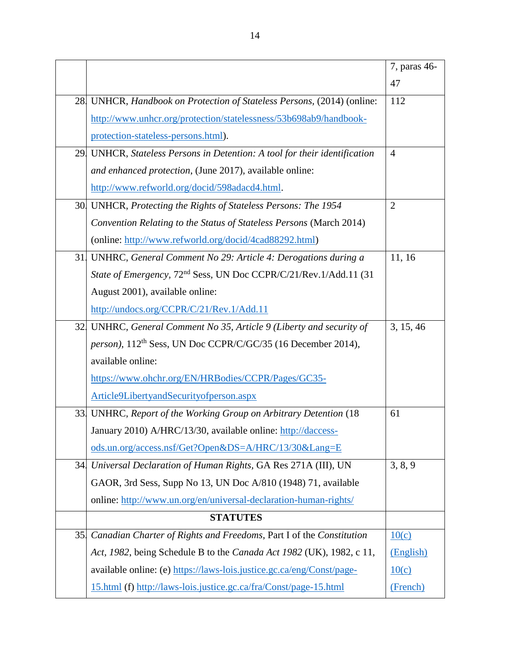|     |                                                                               | 7, paras 46-   |
|-----|-------------------------------------------------------------------------------|----------------|
|     |                                                                               | 47             |
|     | 28 UNHCR, Handbook on Protection of Stateless Persons, (2014) (online:        | 112            |
|     | http://www.unhcr.org/protection/statelessness/53b698ab9/handbook-             |                |
|     | protection-stateless-persons.html).                                           |                |
| 29. | UNHCR, Stateless Persons in Detention: A tool for their identification        | $\overline{4}$ |
|     | and enhanced protection, (June 2017), available online:                       |                |
|     | http://www.refworld.org/docid/598adacd4.html.                                 |                |
|     | 30 UNHCR, Protecting the Rights of Stateless Persons: The 1954                | $\overline{2}$ |
|     | Convention Relating to the Status of Stateless Persons (March 2014)           |                |
|     | (online: http://www.refworld.org/docid/4cad88292.html)                        |                |
| 31. | UNHRC, General Comment No 29: Article 4: Derogations during a                 | 11, 16         |
|     | State of Emergency, 72 <sup>nd</sup> Sess, UN Doc CCPR/C/21/Rev.1/Add.11 (31) |                |
|     | August 2001), available online:                                               |                |
|     | http://undocs.org/CCPR/C/21/Rev.1/Add.11                                      |                |
| 32. | UNHRC, General Comment No 35, Article 9 (Liberty and security of              | 3, 15, 46      |
|     | person), 112 <sup>th</sup> Sess, UN Doc CCPR/C/GC/35 (16 December 2014),      |                |
|     | available online:                                                             |                |
|     | https://www.ohchr.org/EN/HRBodies/CCPR/Pages/GC35-                            |                |
|     | Article9LibertyandSecurityofperson.aspx                                       |                |
| 33. | UNHRC, Report of the Working Group on Arbitrary Detention (18)                | 61             |
|     | January 2010) A/HRC/13/30, available online: http://daccess-                  |                |
|     | ods.un.org/access.nsf/Get?Open&DS=A/HRC/13/30⟪=E                              |                |
| 34. | Universal Declaration of Human Rights, GA Res 271A (III), UN                  | 3, 8, 9        |
|     | GAOR, 3rd Sess, Supp No 13, UN Doc A/810 (1948) 71, available                 |                |
|     | online: http://www.un.org/en/universal-declaration-human-rights/              |                |
|     | <b>STATUTES</b>                                                               |                |
| 35. | Canadian Charter of Rights and Freedoms, Part I of the Constitution           | 10(c)          |
|     | Act, 1982, being Schedule B to the Canada Act 1982 (UK), 1982, c 11,          | (English)      |
|     | available online: (e) https://laws-lois.justice.gc.ca/eng/Const/page-         | 10(c)          |
|     | 15.html (f) http://laws-lois.justice.gc.ca/fra/Const/page-15.html             | (French)       |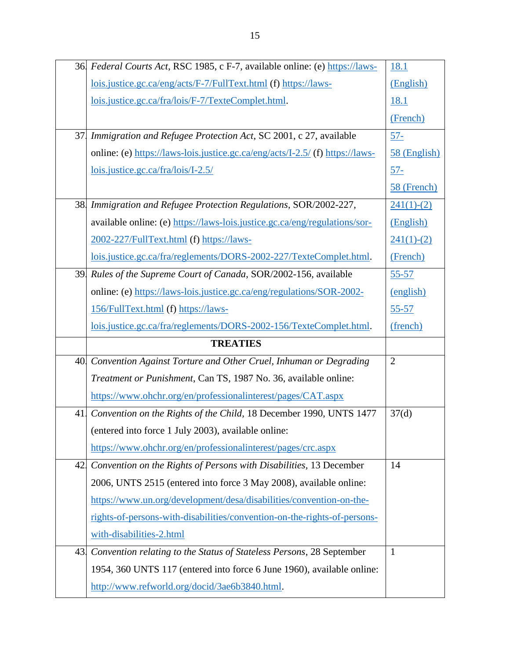|     | 36 Federal Courts Act, RSC 1985, c F-7, available online: (e) https://laws-   | <u>18.1</u>    |
|-----|-------------------------------------------------------------------------------|----------------|
|     | lois.justice.gc.ca/eng/acts/F-7/FullText.html (f) https://laws-               | (English)      |
|     | lois.justice.gc.ca/fra/lois/F-7/TexteComplet.html.                            | <u>18.1</u>    |
|     |                                                                               | (French)       |
| 37. | Immigration and Refugee Protection Act, SC 2001, c 27, available              | $57 -$         |
|     | online: (e) https://laws-lois.justice.gc.ca/eng/acts/I-2.5/ (f) https://laws- | 58 (English)   |
|     | $lois.$ justice.gc.ca/fra/ $lois/I-2.5/$                                      | $57 -$         |
|     |                                                                               | 58 (French)    |
|     | 38 Immigration and Refugee Protection Regulations, SOR/2002-227,              | $241(1)-(2)$   |
|     | available online: (e) https://laws-lois.justice.gc.ca/eng/regulations/sor-    | (English)      |
|     | 2002-227/FullText.html (f) https://laws-                                      | $241(1)-(2)$   |
|     | lois.justice.gc.ca/fra/reglements/DORS-2002-227/TexteComplet.html.            | (French)       |
| 39. | Rules of the Supreme Court of Canada, SOR/2002-156, available                 | $55 - 57$      |
|     | online: (e) https://laws-lois.justice.gc.ca/eng/regulations/SOR-2002-         | (english)      |
|     | 156/FullText.html (f) https://laws-                                           | $55 - 57$      |
|     | lois.justice.gc.ca/fra/reglements/DORS-2002-156/TexteComplet.html.            | (french)       |
|     |                                                                               |                |
|     | <b>TREATIES</b>                                                               |                |
|     | 40 Convention Against Torture and Other Cruel, Inhuman or Degrading           | $\overline{2}$ |
|     | Treatment or Punishment, Can TS, 1987 No. 36, available online:               |                |
|     | https://www.ohchr.org/en/professionalinterest/pages/CAT.aspx                  |                |
| 41. | Convention on the Rights of the Child, 18 December 1990, UNTS 1477            | 37(d)          |
|     | (entered into force 1 July 2003), available online:                           |                |
|     | https://www.ohchr.org/en/professionalinterest/pages/crc.aspx                  |                |
| 42. | Convention on the Rights of Persons with Disabilities, 13 December            | 14             |
|     | 2006, UNTS 2515 (entered into force 3 May 2008), available online:            |                |
|     | https://www.un.org/development/desa/disabilities/convention-on-the-           |                |
|     | rights-of-persons-with-disabilities/convention-on-the-rights-of-persons-      |                |
|     | with-disabilities-2.html                                                      |                |
| 43. | Convention relating to the Status of Stateless Persons, 28 September          | 1              |
|     | 1954, 360 UNTS 117 (entered into force 6 June 1960), available online:        |                |